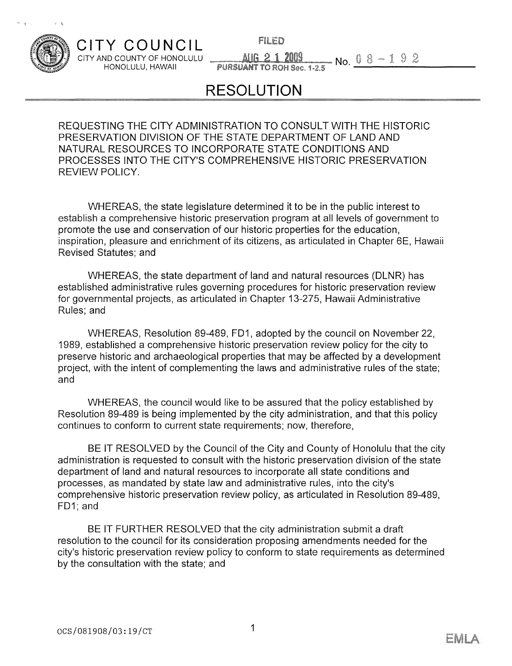

## **CITY** COUNCIL CITY AND COUNTY OF HONOLULU — ~\_J4U&JJ1JJ~L\_\_\_~No

**FILED** 

HONOLULU, HAWAII PURSUANT TO ROH Sec ~2.5

## **RESOLUTION**

REQUESTING THE CITY ADMINISTRATION TO CONSULT WITH THE HISTORIC PRESERVATION DIVISION OF THE STATE DEPARTMENT OF LAND AND NATURAL RESOURCES TO INCORPORATE STATE CONDITIONS AND PROCESSES INTO THE CITY'S COMPREHENSIVE HISTORIC PRESERVATION REVIEW POLICY.

WHEREAS, the state legislature determined it to be in the public interest to establish a comprehensive historic preservation program at all levels of government to promote the use and conservation of our historic properties for the education, inspiration, pleasure and enrichment of its citizens, as articulated in Chapter 6E, Hawaii Revised Statutes; and

WHEREAS, the state department of land and natural resources (DLNR) has established administrative rules governing procedures for historic preservation review for governmental projects, as articulated in Chapter 13-275, Hawaii Administrative Rules; and

WHEREAS, Resolution 89-489, FDI, adopted by the council on November 22, 1989, established a comprehensive historic preservation review policy for the city to preserve historic and archaeological properties that may be affected by a development project, with the intent of complementing the laws and administrative rules of the state; and

WHEREAS, the council would like to be assured that the policy established by Resolution 89-489 is being implemented by the city administration, and that this policy continues to conform to current state requirements; now, therefore,

BE IT RESOLVED by the Council of the City and County of Honolulu that the city administration is requested to consult with the historic preservation division of the state department of land and natural resources to incorporate all state conditions and processes, as mandated by state law and administrative rules, into the city's comprehensive historic preservation review policy, as articulated in Resolution 89-489, FD1; and

BE IT FURTHER RESOLVED that the city administration submit a draft resolution to the council for its consideration proposing amendments needed for the city's historic preservation review policy to conform to state requirements as determined by the consultation with the state; and